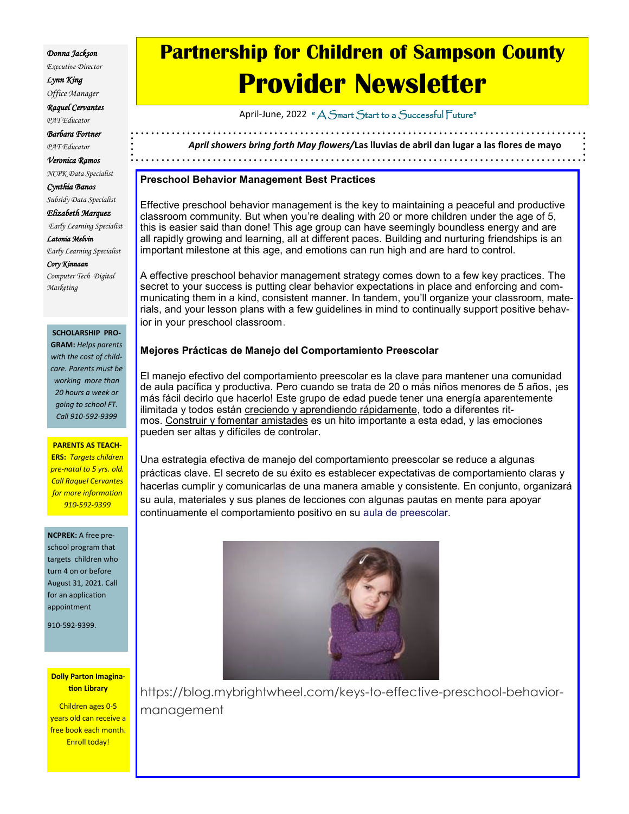#### *Donna Jackson*

*Executive Director Lynn King* 

*Office Manager*

*Raquel Cervantes* 

*PAT Educator*

*Barbara Fortner* 

*PAT Educator*

*Veronica Ramos* 

*NCPK Data Specialist Cynthia Banos* 

*Subsidy Data Specialist Elizabeth Marquez Early Learning Specialist Latonia Melvin Early Learning Specialist*

*Cory Kinnaan Computer Tech Digital Marketing*

#### **SCHOLARSHIP PRO-**

**GRAM:** *Helps parents with the cost of childcare. Parents must be working more than 20 hours a week or going to school FT. Call 910-592-9399*

#### **PARENTS AS TEACH-**

**ERS:** *Targets children pre-natal to 5 yrs. old. Call Raquel Cervantes for more information 910-592-9399*

#### **NCPREK:** A free pre-

school program that targets children who turn 4 on or before August 31, 2021. Call for an application appointment

910-592-9399.

#### **Dolly Parton Imagination Library**

Children ages 0-5 years old can receive a free book each month. Enroll today!

# **Partnership for Children of Sampson County Provider Newsletter**

April-June, 2022 " A Smart Start to a Successful Future"

*April showers bring forth May flowers/***Las lluvias de abril dan lugar a las flores de mayo** 

### **Preschool Behavior Management Best Practices**

Effective preschool behavior management is the key to maintaining a peaceful and productive classroom community. But when you're dealing with 20 or more children under the age of 5, this is easier said than done! This age group can have seemingly boundless energy and are all [rapidly growing and learning,](https://www.healthychildren.org/English/ages-stages/preschool/Pages/Developmental-Milestones-3-to-4-Year-Olds.aspx) all at different paces. Building and nurturing friendships is an important milestone at this age, and emotions can run high and are hard to control.

A effective preschool behavior management strategy comes down to a few key practices. The secret to your success is putting clear behavior expectations in place and enforcing and communicating them in a kind, consistent manner. In tandem, you'll organize your classroom, materials, and your lesson plans with a few guidelines in mind to continually support positive behavior in your preschool classroom.

## **Mejores Prácticas de Manejo del Comportamiento Preescolar**

El manejo efectivo del comportamiento preescolar es la clave para mantener una comunidad de aula pacífica y productiva. Pero cuando se trata de 20 o más niños menores de 5 años, ¡es más fácil decirlo que hacerlo! Este grupo de edad puede tener una energía aparentemente ilimitada y todos están [creciendo y aprendiendo rápidamente,](https://www.healthychildren.org/English/ages-stages/preschool/Pages/Developmental-Milestones-3-to-4-Year-Olds.aspx) todo a diferentes ritmos. [Construir y fomentar](http://www.scholastic.com/browse/article.jsp?id=3747174) amistades es un hito importante a esta edad, y las emociones pueden ser altas y difíciles de controlar.

Una estrategia efectiva de manejo del comportamiento preescolar se reduce a algunas prácticas clave. El secreto de su éxito es establecer expectativas de comportamiento claras y hacerlas cumplir y comunicarlas de una manera amable y consistente. En conjunto, organizará su aula, materiales y sus planes de lecciones con algunas pautas en mente para apoyar continuamente el comportamiento positivo en su aula de preescolar.



https://blog.mybrightwheel.com/keys-to-effective-preschool-behaviormanagement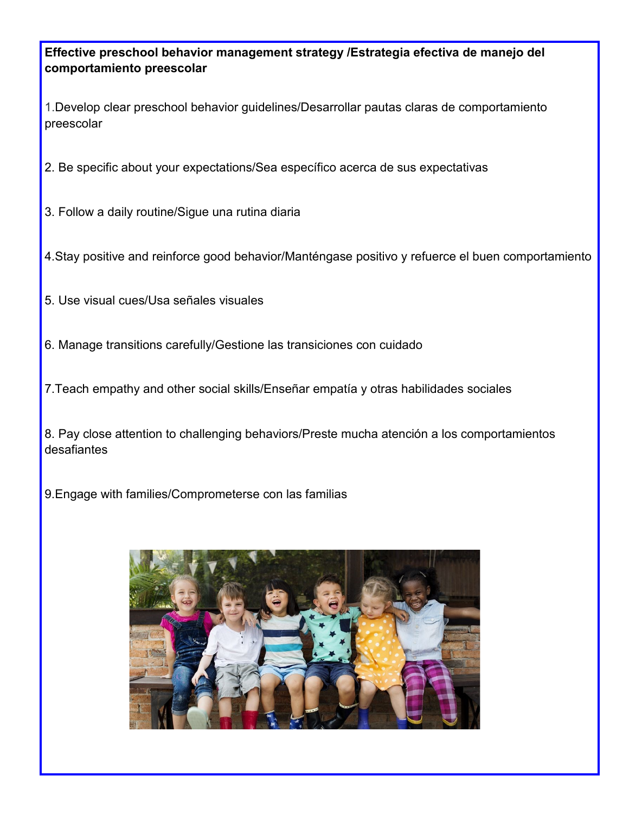**Effective preschool behavior management strategy /Estrategia efectiva de manejo del comportamiento preescolar** 

1.Develop clear preschool behavior guidelines/Desarrollar pautas claras de comportamiento preescolar

2. Be specific about your expectations/Sea específico acerca de sus expectativas

3. Follow a daily routine/Sigue una rutina diaria

4.Stay positive and reinforce good behavior/Manténgase positivo y refuerce el buen comportamiento

- 5. Use visual cues/Usa señales visuales
- 6. Manage transitions carefully/Gestione las transiciones con cuidado
- 7.Teach empathy and other social skills/Enseñar empatía y otras habilidades sociales

8. Pay close attention to challenging behaviors/Preste mucha atención a los comportamientos desafiantes

9.Engage with families/Comprometerse con las familias

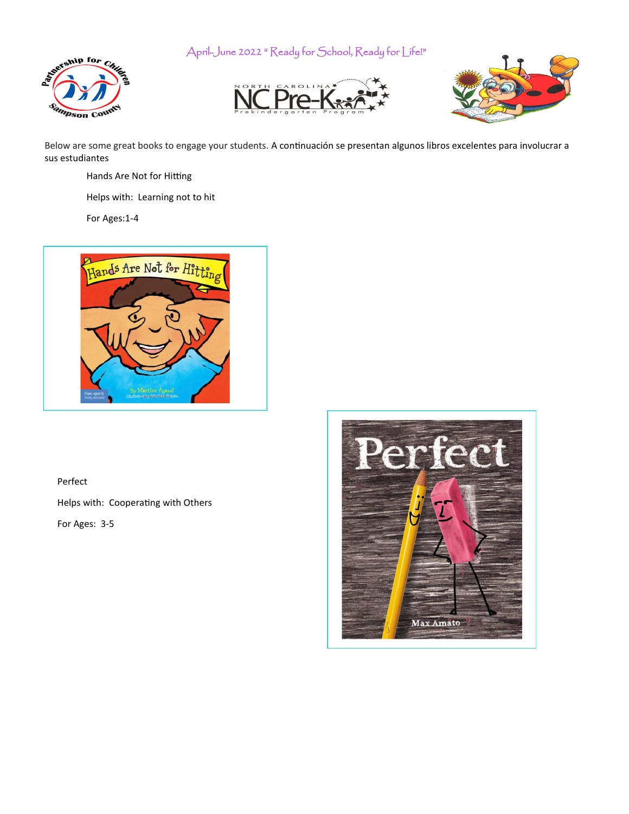April-June 2022 " Ready for School, Ready for Life!"







Below are some great books to engage your students. A continuación se presentan algunos libros excelentes para involucrar a sus estudiantes

- Hands Are Not for Hitting
- Helps with: Learning not to hit

For Ages:1-4



# Perfect

Helps with: Cooperating with Others

For Ages: 3-5